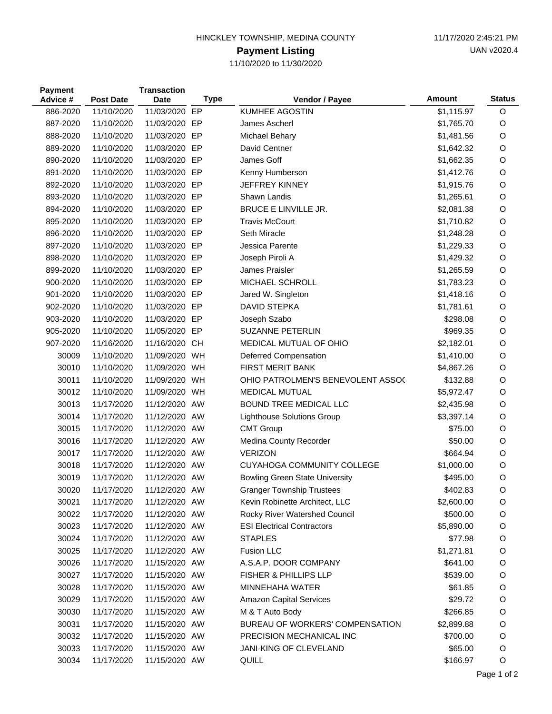| HINCKLEY TOWNSHIP, MEDINA COUNTY |  |
|----------------------------------|--|
|----------------------------------|--|

## **Payment Listing**

11/10/2020 to 11/30/2020

| <b>Payment</b><br>Advice # | <b>Post Date</b> | <b>Transaction</b><br>Date | <b>Type</b> | Vendor / Payee                        | Amount     | <b>Status</b> |
|----------------------------|------------------|----------------------------|-------------|---------------------------------------|------------|---------------|
| 886-2020                   | 11/10/2020       | 11/03/2020 EP              |             | <b>KUMHEE AGOSTIN</b>                 | \$1,115.97 | O             |
| 887-2020                   | 11/10/2020       | 11/03/2020 EP              |             | James Ascherl                         | \$1,765.70 | O             |
| 888-2020                   | 11/10/2020       | 11/03/2020 EP              |             | Michael Behary                        | \$1,481.56 | O             |
| 889-2020                   | 11/10/2020       | 11/03/2020 EP              |             | David Centner                         | \$1,642.32 | O             |
| 890-2020                   | 11/10/2020       | 11/03/2020 EP              |             | James Goff                            | \$1,662.35 | O             |
| 891-2020                   | 11/10/2020       | 11/03/2020 EP              |             | Kenny Humberson                       | \$1,412.76 | $\circ$       |
| 892-2020                   | 11/10/2020       | 11/03/2020 EP              |             | <b>JEFFREY KINNEY</b>                 | \$1,915.76 | O             |
| 893-2020                   | 11/10/2020       | 11/03/2020 EP              |             | Shawn Landis                          | \$1,265.61 | $\circ$       |
| 894-2020                   | 11/10/2020       | 11/03/2020 EP              |             | <b>BRUCE E LINVILLE JR.</b>           | \$2,081.38 | $\circ$       |
| 895-2020                   | 11/10/2020       | 11/03/2020 EP              |             | <b>Travis McCourt</b>                 | \$1,710.82 | $\circ$       |
| 896-2020                   | 11/10/2020       | 11/03/2020 EP              |             | Seth Miracle                          | \$1,248.28 | O             |
| 897-2020                   | 11/10/2020       | 11/03/2020 EP              |             | Jessica Parente                       | \$1,229.33 | $\circ$       |
| 898-2020                   | 11/10/2020       | 11/03/2020 EP              |             | Joseph Piroli A                       | \$1,429.32 | $\circ$       |
| 899-2020                   | 11/10/2020       | 11/03/2020 EP              |             | James Praisler                        | \$1,265.59 | $\circ$       |
| 900-2020                   | 11/10/2020       | 11/03/2020 EP              |             | MICHAEL SCHROLL                       | \$1,783.23 | $\circ$       |
| 901-2020                   | 11/10/2020       | 11/03/2020 EP              |             | Jared W. Singleton                    | \$1,418.16 | $\circ$       |
| 902-2020                   | 11/10/2020       | 11/03/2020 EP              |             | <b>DAVID STEPKA</b>                   | \$1,781.61 | O             |
| 903-2020                   | 11/10/2020       | 11/03/2020 EP              |             | Joseph Szabo                          | \$298.08   | $\circ$       |
| 905-2020                   | 11/10/2020       | 11/05/2020 EP              |             | SUZANNE PETERLIN                      | \$969.35   | O             |
| 907-2020                   | 11/16/2020       | 11/16/2020 CH              |             | MEDICAL MUTUAL OF OHIO                | \$2,182.01 | $\circ$       |
| 30009                      | 11/10/2020       | 11/09/2020 WH              |             | Deferred Compensation                 | \$1,410.00 | $\circ$       |
| 30010                      | 11/10/2020       | 11/09/2020 WH              |             | <b>FIRST MERIT BANK</b>               | \$4,867.26 | $\circ$       |
| 30011                      | 11/10/2020       | 11/09/2020 WH              |             | OHIO PATROLMEN'S BENEVOLENT ASSOC     | \$132.88   | $\circ$       |
| 30012                      | 11/10/2020       | 11/09/2020 WH              |             | <b>MEDICAL MUTUAL</b>                 | \$5,972.47 | O             |
| 30013                      | 11/17/2020       | 11/12/2020 AW              |             | BOUND TREE MEDICAL LLC                | \$2,435.98 | O             |
| 30014                      | 11/17/2020       | 11/12/2020 AW              |             | <b>Lighthouse Solutions Group</b>     | \$3,397.14 | $\circ$       |
| 30015                      | 11/17/2020       | 11/12/2020 AW              |             | <b>CMT Group</b>                      | \$75.00    | O             |
| 30016                      | 11/17/2020       | 11/12/2020 AW              |             | Medina County Recorder                | \$50.00    | O             |
| 30017                      | 11/17/2020       | 11/12/2020 AW              |             | <b>VERIZON</b>                        | \$664.94   | O             |
| 30018                      | 11/17/2020       | 11/12/2020 AW              |             | <b>CUYAHOGA COMMUNITY COLLEGE</b>     | \$1,000.00 | $\circ$       |
| 30019                      | 11/17/2020       | 11/12/2020 AW              |             | <b>Bowling Green State University</b> | \$495.00   | O             |
| 30020                      | 11/17/2020       | 11/12/2020 AW              |             | <b>Granger Township Trustees</b>      | \$402.83   | O             |
| 30021                      | 11/17/2020       | 11/12/2020 AW              |             | Kevin Robinette Architect, LLC        | \$2,600.00 | O             |
| 30022                      | 11/17/2020       | 11/12/2020 AW              |             | Rocky River Watershed Council         | \$500.00   | O             |
| 30023                      | 11/17/2020       | 11/12/2020 AW              |             | <b>ESI Electrical Contractors</b>     | \$5,890.00 | O             |
| 30024                      | 11/17/2020       | 11/12/2020 AW              |             | <b>STAPLES</b>                        | \$77.98    | O             |
| 30025                      | 11/17/2020       | 11/12/2020 AW              |             | <b>Fusion LLC</b>                     | \$1,271.81 | O             |
| 30026                      | 11/17/2020       | 11/15/2020 AW              |             | A.S.A.P. DOOR COMPANY                 | \$641.00   | O             |
| 30027                      | 11/17/2020       | 11/15/2020 AW              |             | <b>FISHER &amp; PHILLIPS LLP</b>      | \$539.00   | O             |
| 30028                      | 11/17/2020       | 11/15/2020 AW              |             | <b>MINNEHAHA WATER</b>                | \$61.85    | O             |
| 30029                      | 11/17/2020       | 11/15/2020 AW              |             | <b>Amazon Capital Services</b>        | \$29.72    | O             |
| 30030                      | 11/17/2020       | 11/15/2020 AW              |             | M & T Auto Body                       | \$266.85   | O             |
| 30031                      | 11/17/2020       | 11/15/2020 AW              |             | BUREAU OF WORKERS' COMPENSATION       | \$2,899.88 | O             |
| 30032                      | 11/17/2020       | 11/15/2020 AW              |             | PRECISION MECHANICAL INC              | \$700.00   | O             |
| 30033                      | 11/17/2020       | 11/15/2020 AW              |             | JANI-KING OF CLEVELAND                | \$65.00    | O             |
| 30034                      | 11/17/2020       | 11/15/2020 AW              |             | QUILL                                 | \$166.97   | O             |